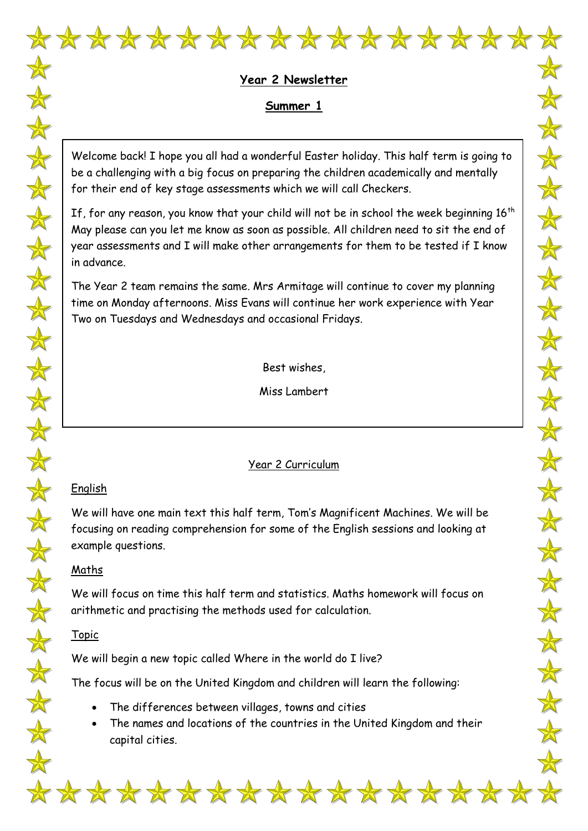

# **Year 2 Newsletter Summer 1**

 $\frac{1}{\sqrt{2}}$ 

 $\frac{\Delta}{\Delta t}$ 

 $\color{red} \bigstar$ 

 $\frac{1}{N}$ 

 $\frac{1}{N}$ 

 $\frac{\lambda}{\lambda}$ 

 $\frac{1}{N}$ 

 $\frac{1}{x}$ 

十

 $\frac{\Delta}{\Delta t}$ 

 $\color{red} \bigstar$ 

 $\color{red} \bigstar$ 

 $\color{red} \bigstar$ 

 $\frac{\lambda}{N}$ 

 $\frac{1}{N}$ 

 $\frac{1}{N}$ 

 $\frac{1}{\sqrt{2}}$ 

 $\frac{1}{N}$ 

 $\frac{1}{N}$ 

 $\frac{1}{\sqrt{2}}$ 

 $\frac{\Lambda}{\Lambda}$ 

 $\frac{1}{\sqrt{2}}$ 

 $\frac{1}{N}$ 

 $\clubsuit$ 

Welcome back! I hope you all had a wonderful Easter holiday. This half term is going to be a challenging with a big focus on preparing the children academically and mentally for their end of key stage assessments which we will call Checkers.

If, for any reason, you know that your child will not be in school the week beginning  $16<sup>th</sup>$ May please can you let me know as soon as possible. All children need to sit the end of year assessments and I will make other arrangements for them to be tested if I know in advance.

The Year 2 team remains the same. Mrs Armitage will continue to cover my planning time on Monday afternoons. Miss Evans will continue her work experience with Year Two on Tuesdays and Wednesdays and occasional Fridays.

Best wishes,

Miss Lambert

Year 2 Curriculum

# English

We will have one main text this half term, Tom's Magnificent Machines. We will be focusing on reading comprehension for some of the English sessions and looking at example questions.

### Maths

We will focus on time this half term and statistics. Maths homework will focus on arithmetic and practising the methods used for calculation.

### Topic

We will begin a new topic called Where in the world do I live?

The focus will be on the United Kingdom and children will learn the following:

- The differences between villages, towns and cities
- The names and locations of the countries in the United Kingdom and their capital cities.